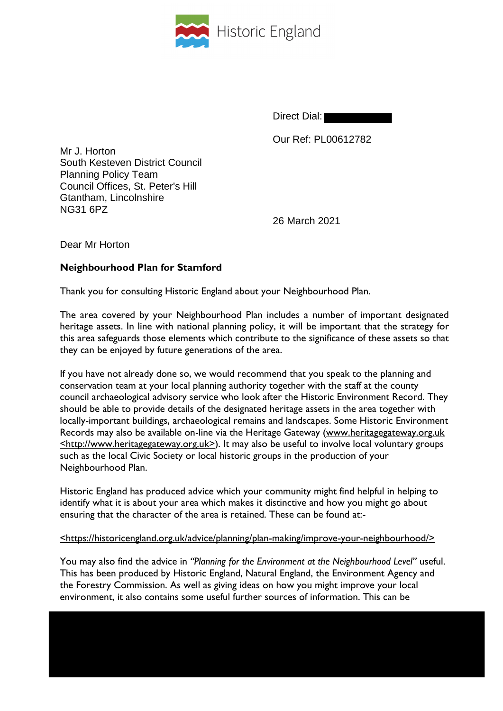

Direct Dial:

Our Ref: PL00612782

Mr J. Horton South Kesteven District Council Planning Policy Team Council Offices, St. Peter's Hill Gtantham, Lincolnshire NG31 6PZ

26 March 2021

Dear Mr Horton

## **Neighbourhood Plan for Stamford**

Thank you for consulting Historic England about your Neighbourhood Plan.

The area covered by your Neighbourhood Plan includes a number of important designated heritage assets. In line with national planning policy, it will be important that the strategy for this area safeguards those elements which contribute to the significance of these assets so that they can be enjoyed by future generations of the area.

If you have not already done so, we would recommend that you speak to the planning and conservation team at your local planning authority together with the staff at the county council archaeological advisory service who look after the Historic Environment Record. They should be able to provide details of the designated heritage assets in the area together with locally-important buildings, archaeological remains and landscapes. Some Historic Environment Records may also be available on-line via the Heritage Gateway (www.heritagegateway.org.uk <http://www.heritagegateway.org.uk>). It may also be useful to involve local voluntary groups such as the local Civic Society or local historic groups in the production of your Neighbourhood Plan.

Historic England has produced advice which your community might find helpful in helping to identify what it is about your area which makes it distinctive and how you might go about ensuring that the character of the area is retained. These can be found at:-

## <https://historicengland.org.uk/advice/planning/plan-making/improve-your-neighbourhood/>

You may also find the advice in *"Planning for the Environment at the Neighbourhood Level"* useful. This has been produced by Historic England, Natural England, the Environment Agency and the Forestry Commission. As well as giving ideas on how you might improve your local environment, it also contains some useful further sources of information. This can be